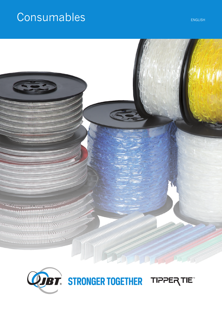# Consumables **Examples** ENGLISH





# **ODBT.** STRONGER TOGETHER **TIPPER TIE**

**TARK THE TABLE TO BE AND** 

Affinist Alexandri The Little

HANGE MARIA AND STANDARD

777777777777777777777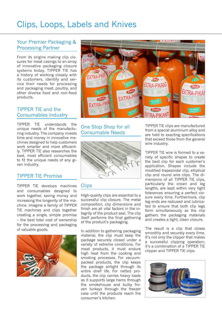# Clips, Loops, Labels and Knives

#### Your Premier Packaging & Processing Partner

From its origins making clip closures for meat casings to an array of innovative packaging closure systems today, TIPPER TIE has a history of working closely with its customers, identify and service their needs for processing and packaging meat, poultry, and other diverse food and non-food products.

#### TIPPER TIE and the Consumables Industry

TIPPER TIE understands the unique needs of the manufacturing industry. The company invests time and money in innovative machines designed to help customers work smarter and more efficiently. TIPPER TIE also researches the best, most efficient consumables to fit the unique needs of any given industry.

#### TIPPER TIE Promise

TIPPER TIE develops machines and consumables designed to work together, saving money and increasing the longevity of the machine. Imagine a family of TIPPER TIE machines and clips together creating a single, simple promise – the best total cost of ownership for the processing and packaging of valuable goods.





## One Stop Shop for all Consumable Needs



#### **Clips**

High-quality clips are essential to a successful clip closure. The metal composition, clip dimensions and finish are all vital factors in the integrity of the product seal. The clip itself performs the final gathering of the product's packaging.

In addition to gathering packaging material, the clip must keep the package securely closed under a variety of extreme conditions. For meat products, it must endure high heat from the cooking and smoking processes. For vacuumpacked products, the clip keeps the package airtight through its entire shelf life. For netted products, the clip carries heavy loads as it supports large hams through the smokehouse and bulky frozen turkeys through the freezer case until the products reach the consumer's kitchen.

TIPPER TIE clips are manufactured from a special aluminum alloy and are held to exacting specifications that exceed those from the general wire industry.

TIPPER TIE wire is formed to a variety of specific shapes to create the best clip for each customer's application. Shapes include the modified trapezoidal clip, elliptical clip and round wire clips. The dimensions of all TIPPER TIE clips, particularly the crown and leg lengths, are kept within very tight tolerances ensuring a perfect closure every time. Furthermore, clip leg ends are radiused and lubricated to ensure that both clip legs form simultaneously as the clip gathers the packaging materials and creates a tight, clean closure.

The result is a clip that closes smoothly and securely every time. It's not only the clipper that makes a successful clipping operation; it's a combination of a TIPPER TIE clipper and TIPPER TIE clips.

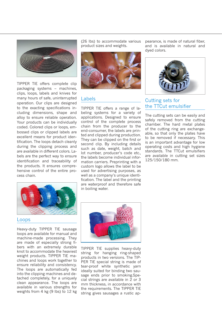

TIPPER TIE offers complete clip packaging systems – machines, clips, loops, labels and knives for many hours of safe, uninterrupted operation. Our clips are designed to the exacting specifications including dimensions, shape and alloy to ensure reliable operation. Your products can be individually coded. Colored clips or loops, embossed clips or clipped labels are excellent means for product identification. The loops detach cleanly during the clipping process and are available in different colors. Labels are the perfect way to ensure identification and traceability of the products. It ensures comprehensive control of the entire process chain.



#### Loops

Heavy-duty TIPPER TIE sausage loops are available for manual and machine-made processing. They are made of especially strong fibers with an extremely durable knot to accommodate the heaviest weight products. TIPPER TIE machines and loops work together to ensure reliability and consistency. The loops are automatically fed into the clipping machines and detached completely, for a uniquely clean appearance. The loops are available in various strengths for weights from 4 kg (9 lbs) to 12 kg

(26 lbs) to accommodate various product sizes and weights.



#### Labels

TIPPER TIE offers a range of labeling systems for a variety of applications. Designed to ensure control of the complete process chain from the producer to the end-consumer, the labels are printed and clipped during production. They can be clipped on the first or second clip. By including details such as date, weight, batch and lot number, producer's code etc., the labels become individual information carriers. Preprinting with a custom logo allows the label to be used for advertising purposes, as well as a company's unique identification. The label and the printing are waterproof and therefore safe in boiling water.

pearance, is made of natural fiber, and is available in natural and dyed colors.



## Cutting sets for the TTCut emulsifier

The cutting sets can be easily and safely removed from the cutting chamber. The hard metal plates of the cutting ring are exchangeable, so that only the plates have to be removed if necessary. This is an important advantage for low operating costs and high hygiene standards. The TTCut emulsifiers are available in cutting set sizes 125/150/180 mm.



TIPPER TIE supplies heavy-duty string for hanging ring-shaped products in two versions. The TIP-PER TIE special string is made of tear-proof white synthetic yarn ideally suited for binding two sausage ends prior to smoking.Special strings are available in 2 or 3 mm thickness, in accordance with the requirements. The TIPPER TIE string gives sausages a rustic ap-